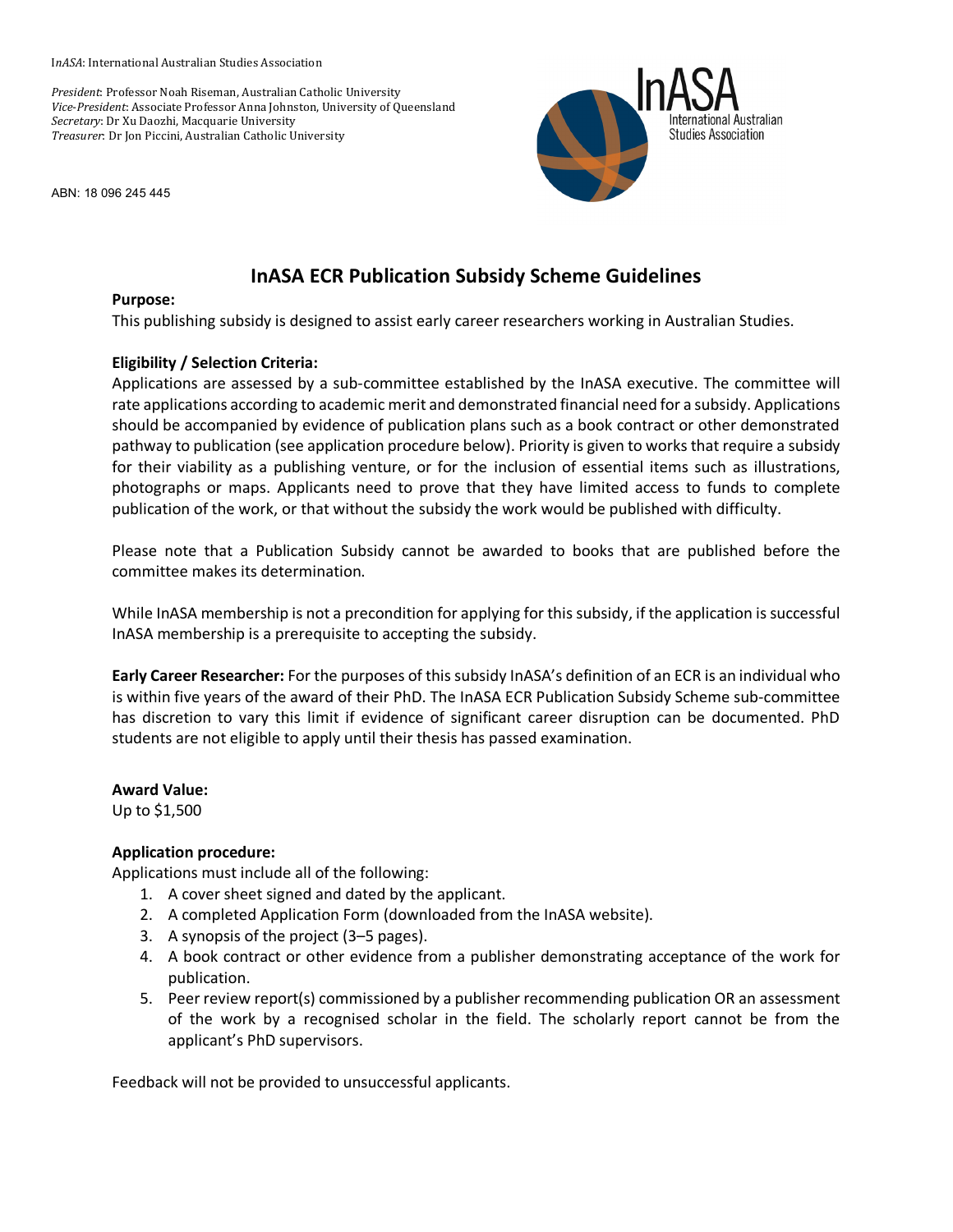I*nASA*: International Australian Studies Association

*President*: Professor Noah Riseman, Australian Catholic University *Vice*-*President*: Associate Professor Anna Johnston, University of Queensland *Secretary*: Dr Xu Daozhi, Macquarie University *Treasurer*: Dr Jon Piccini, Australian Catholic University

ABN: 18 096 245 445



# **InASA ECR Publication Subsidy Scheme Guidelines**

#### **Purpose:**

This publishing subsidy is designed to assist early career researchers working in Australian Studies.

### **Eligibility / Selection Criteria:**

Applications are assessed by a sub-committee established by the InASA executive. The committee will rate applications according to academic merit and demonstrated financial need for a subsidy. Applications should be accompanied by evidence of publication plans such as a book contract or other demonstrated pathway to publication (see application procedure below). Priority is given to works that require a subsidy for their viability as a publishing venture, or for the inclusion of essential items such as illustrations, photographs or maps. Applicants need to prove that they have limited access to funds to complete publication of the work, or that without the subsidy the work would be published with difficulty.

Please note that a Publication Subsidy cannot be awarded to books that are published before the committee makes its determination.

While InASA membership is not a precondition for applying for this subsidy, if the application is successful InASA membership is a prerequisite to accepting the subsidy.

**Early Career Researcher:** For the purposes of this subsidy InASA's definition of an ECR is an individual who is within five years of the award of their PhD. The InASA ECR Publication Subsidy Scheme sub-committee has discretion to vary this limit if evidence of significant career disruption can be documented. PhD students are not eligible to apply until their thesis has passed examination.

#### **Award Value:**

Up to \$1,500

## **Application procedure:**

Applications must include all of the following:

- 1. A cover sheet signed and dated by the applicant.
- 2. A completed Application Form (downloaded from the InASA website).
- 3. A synopsis of the project (3–5 pages).
- 4. A book contract or other evidence from a publisher demonstrating acceptance of the work for publication.
- 5. Peer review report(s) commissioned by a publisher recommending publication OR an assessment of the work by a recognised scholar in the field. The scholarly report cannot be from the applicant's PhD supervisors.

Feedback will not be provided to unsuccessful applicants.